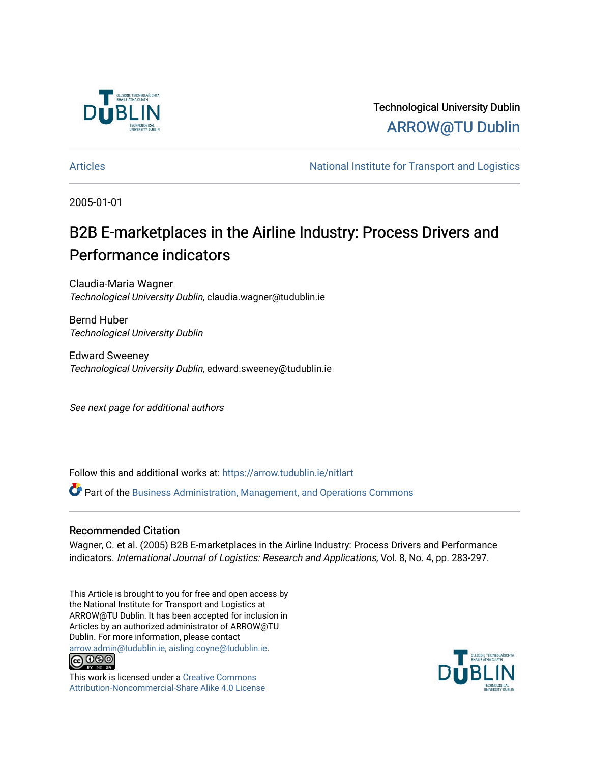

Technological University Dublin [ARROW@TU Dublin](https://arrow.tudublin.ie/) 

[Articles](https://arrow.tudublin.ie/nitlart) **National Institute for Transport and Logistics** Articles

2005-01-01

# B2B E-marketplaces in the Airline Industry: Process Drivers and Performance indicators

Claudia-Maria Wagner Technological University Dublin, claudia.wagner@tudublin.ie

Bernd Huber Technological University Dublin

Edward Sweeney Technological University Dublin, edward.sweeney@tudublin.ie

See next page for additional authors

Follow this and additional works at: [https://arrow.tudublin.ie/nitlart](https://arrow.tudublin.ie/nitlart?utm_source=arrow.tudublin.ie%2Fnitlart%2F11&utm_medium=PDF&utm_campaign=PDFCoverPages) 

Part of the [Business Administration, Management, and Operations Commons](http://network.bepress.com/hgg/discipline/623?utm_source=arrow.tudublin.ie%2Fnitlart%2F11&utm_medium=PDF&utm_campaign=PDFCoverPages)

### Recommended Citation

Wagner, C. et al. (2005) B2B E-marketplaces in the Airline Industry: Process Drivers and Performance indicators. International Journal of Logistics: Research and Applications, Vol. 8, No. 4, pp. 283-297.

This Article is brought to you for free and open access by the National Institute for Transport and Logistics at ARROW@TU Dublin. It has been accepted for inclusion in Articles by an authorized administrator of ARROW@TU Dublin. For more information, please contact [arrow.admin@tudublin.ie, aisling.coyne@tudublin.ie](mailto:arrow.admin@tudublin.ie,%20aisling.coyne@tudublin.ie).



This work is licensed under a [Creative Commons](http://creativecommons.org/licenses/by-nc-sa/4.0/) [Attribution-Noncommercial-Share Alike 4.0 License](http://creativecommons.org/licenses/by-nc-sa/4.0/)

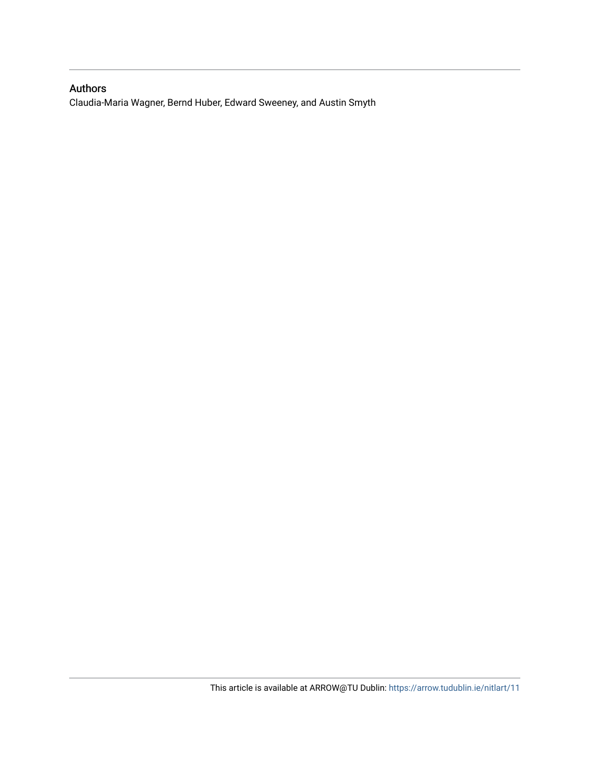## Authors

Claudia-Maria Wagner, Bernd Huber, Edward Sweeney, and Austin Smyth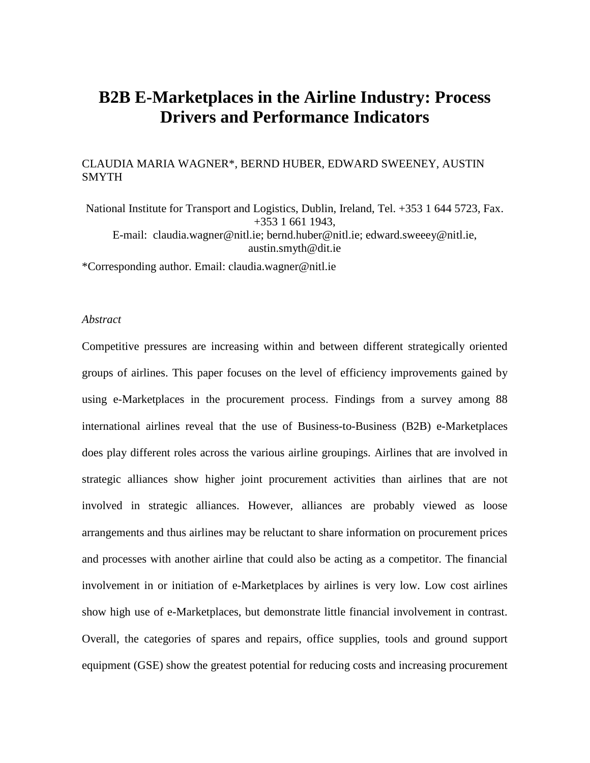## **B2B E-Marketplaces in the Airline Industry: Process Drivers and Performance Indicators**

## CLAUDIA MARIA WAGNER\*, BERND HUBER, EDWARD SWEENEY, AUSTIN SMYTH

National Institute for Transport and Logistics, Dublin, Ireland, Tel. +353 1 644 5723, Fax. +353 1 661 1943, E-mail: [claudia.wagner@nitl.ie;](mailto:claudia.wagner@nitl.ie) [bernd.huber@nitl.ie;](mailto:bernd.huber@nitl.ie) [edward.sweeey@nitl.ie,](mailto:edward.sweeey@nitl.ie) austin.smyth@dit.ie

\*Corresponding author. Email: [claudia.wagner@nitl.ie](mailto:claudia.wagner@nitl.ie)

#### *Abstract*

Competitive pressures are increasing within and between different strategically oriented groups of airlines. This paper focuses on the level of efficiency improvements gained by using e-Marketplaces in the procurement process. Findings from a survey among 88 international airlines reveal that the use of Business-to-Business (B2B) e-Marketplaces does play different roles across the various airline groupings. Airlines that are involved in strategic alliances show higher joint procurement activities than airlines that are not involved in strategic alliances. However, alliances are probably viewed as loose arrangements and thus airlines may be reluctant to share information on procurement prices and processes with another airline that could also be acting as a competitor. The financial involvement in or initiation of e-Marketplaces by airlines is very low. Low cost airlines show high use of e-Marketplaces, but demonstrate little financial involvement in contrast. Overall, the categories of spares and repairs, office supplies, tools and ground support equipment (GSE) show the greatest potential for reducing costs and increasing procurement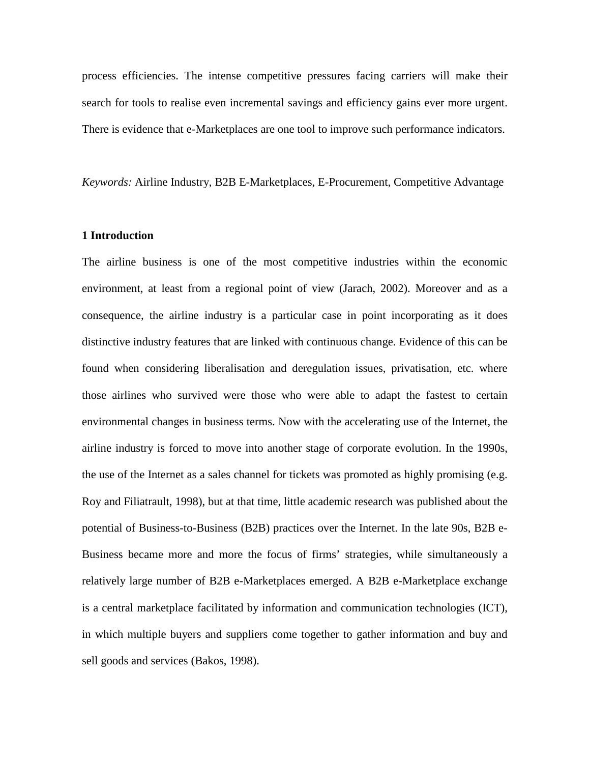process efficiencies. The intense competitive pressures facing carriers will make their search for tools to realise even incremental savings and efficiency gains ever more urgent. There is evidence that e-Marketplaces are one tool to improve such performance indicators.

*Keywords:* Airline Industry, B2B E-Marketplaces, E-Procurement, Competitive Advantage

#### **1 Introduction**

The airline business is one of the most competitive industries within the economic environment, at least from a regional point of view (Jarach, 2002). Moreover and as a consequence, the airline industry is a particular case in point incorporating as it does distinctive industry features that are linked with continuous change. Evidence of this can be found when considering liberalisation and deregulation issues, privatisation, etc. where those airlines who survived were those who were able to adapt the fastest to certain environmental changes in business terms. Now with the accelerating use of the Internet, the airline industry is forced to move into another stage of corporate evolution. In the 1990s, the use of the Internet as a sales channel for tickets was promoted as highly promising (e.g. Roy and Filiatrault, 1998), but at that time, little academic research was published about the potential of Business-to-Business (B2B) practices over the Internet. In the late 90s, B2B e-Business became more and more the focus of firms' strategies, while simultaneously a relatively large number of B2B e-Marketplaces emerged. A B2B e-Marketplace exchange is a central marketplace facilitated by information and communication technologies (ICT), in which multiple buyers and suppliers come together to gather information and buy and sell goods and services (Bakos, 1998).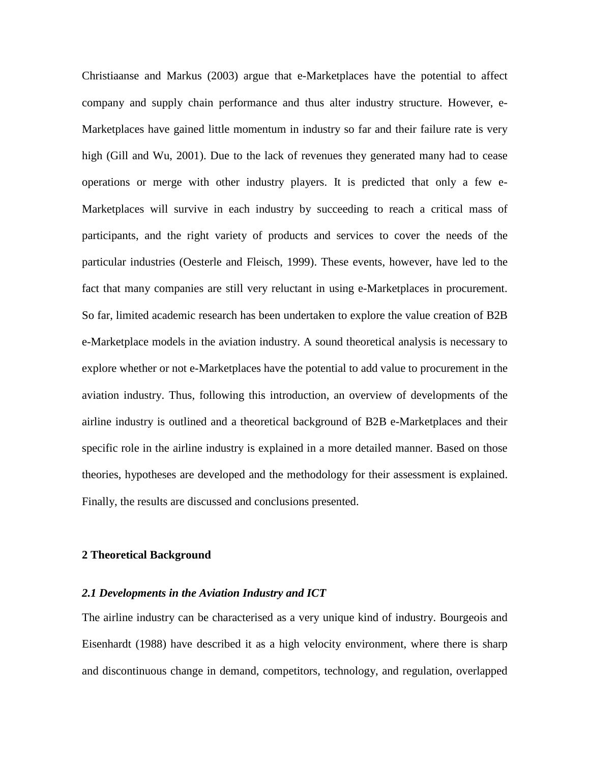Christiaanse and Markus (2003) argue that e-Marketplaces have the potential to affect company and supply chain performance and thus alter industry structure. However, e-Marketplaces have gained little momentum in industry so far and their failure rate is very high (Gill and Wu, 2001). Due to the lack of revenues they generated many had to cease operations or merge with other industry players. It is predicted that only a few e-Marketplaces will survive in each industry by succeeding to reach a critical mass of participants, and the right variety of products and services to cover the needs of the particular industries (Oesterle and Fleisch, 1999). These events, however, have led to the fact that many companies are still very reluctant in using e-Marketplaces in procurement. So far, limited academic research has been undertaken to explore the value creation of B2B e-Marketplace models in the aviation industry. A sound theoretical analysis is necessary to explore whether or not e-Marketplaces have the potential to add value to procurement in the aviation industry. Thus, following this introduction, an overview of developments of the airline industry is outlined and a theoretical background of B2B e-Marketplaces and their specific role in the airline industry is explained in a more detailed manner. Based on those theories, hypotheses are developed and the methodology for their assessment is explained. Finally, the results are discussed and conclusions presented.

#### **2 Theoretical Background**

#### *2.1 Developments in the Aviation Industry and ICT*

The airline industry can be characterised as a very unique kind of industry. Bourgeois and Eisenhardt (1988) have described it as a high velocity environment, where there is sharp and discontinuous change in demand, competitors, technology, and regulation, overlapped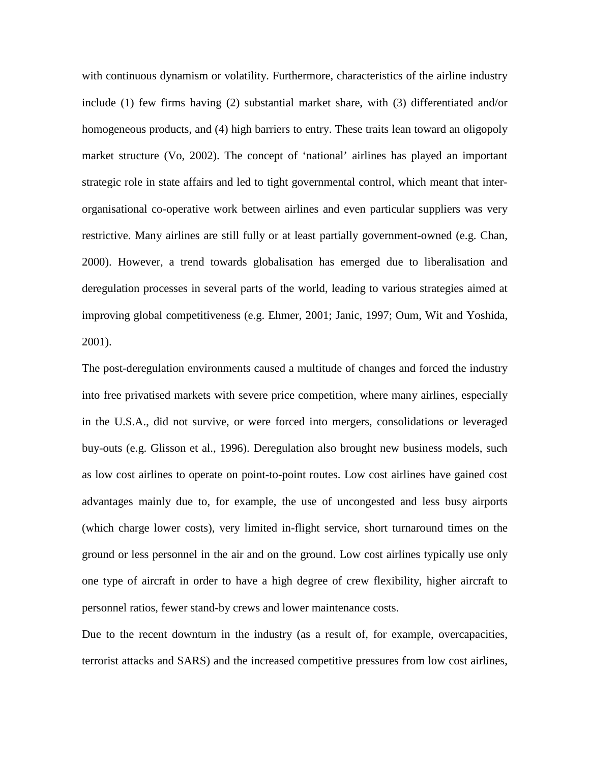with continuous dynamism or volatility. Furthermore, characteristics of the airline industry include (1) few firms having (2) substantial market share, with (3) differentiated and/or homogeneous products, and (4) high barriers to entry. These traits lean toward an oligopoly market structure (Vo, 2002). The concept of 'national' airlines has played an important strategic role in state affairs and led to tight governmental control, which meant that interorganisational co-operative work between airlines and even particular suppliers was very restrictive. Many airlines are still fully or at least partially government-owned (e.g. Chan, 2000). However, a trend towards globalisation has emerged due to liberalisation and deregulation processes in several parts of the world, leading to various strategies aimed at improving global competitiveness (e.g. Ehmer, 2001; Janic, 1997; Oum, Wit and Yoshida, 2001).

The post-deregulation environments caused a multitude of changes and forced the industry into free privatised markets with severe price competition, where many airlines, especially in the U.S.A., did not survive, or were forced into mergers, consolidations or leveraged buy-outs (e.g. Glisson et al., 1996). Deregulation also brought new business models, such as low cost airlines to operate on point-to-point routes. Low cost airlines have gained cost advantages mainly due to, for example, the use of uncongested and less busy airports (which charge lower costs), very limited in-flight service, short turnaround times on the ground or less personnel in the air and on the ground. Low cost airlines typically use only one type of aircraft in order to have a high degree of crew flexibility, higher aircraft to personnel ratios, fewer stand-by crews and lower maintenance costs.

Due to the recent downturn in the industry (as a result of, for example, overcapacities, terrorist attacks and SARS) and the increased competitive pressures from low cost airlines,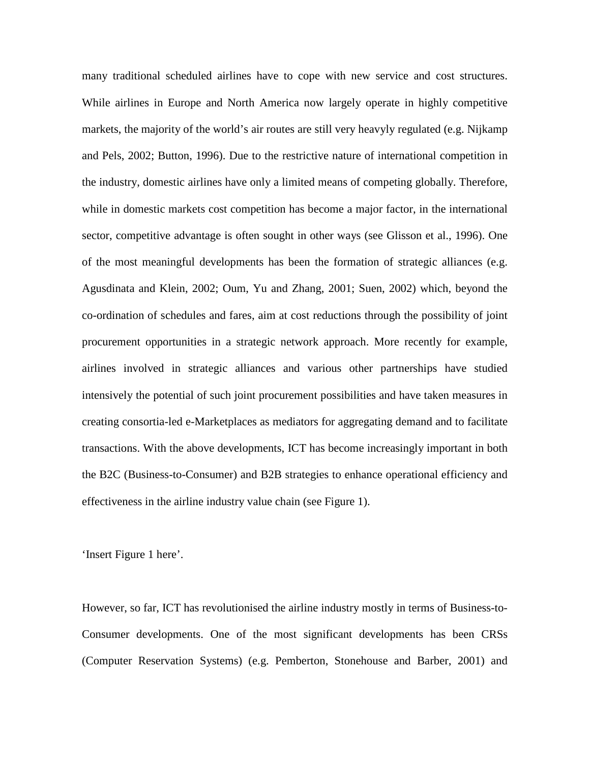many traditional scheduled airlines have to cope with new service and cost structures. While airlines in Europe and North America now largely operate in highly competitive markets, the majority of the world's air routes are still very heavyly regulated (e.g. Nijkamp and Pels, 2002; Button, 1996). Due to the restrictive nature of international competition in the industry, domestic airlines have only a limited means of competing globally. Therefore, while in domestic markets cost competition has become a major factor, in the international sector, competitive advantage is often sought in other ways (see Glisson et al., 1996). One of the most meaningful developments has been the formation of strategic alliances (e.g. Agusdinata and Klein, 2002; Oum, Yu and Zhang, 2001; Suen, 2002) which, beyond the co-ordination of schedules and fares, aim at cost reductions through the possibility of joint procurement opportunities in a strategic network approach. More recently for example, airlines involved in strategic alliances and various other partnerships have studied intensively the potential of such joint procurement possibilities and have taken measures in creating consortia-led e-Marketplaces as mediators for aggregating demand and to facilitate transactions. With the above developments, ICT has become increasingly important in both the B2C (Business-to-Consumer) and B2B strategies to enhance operational efficiency and effectiveness in the airline industry value chain (see Figure 1).

'Insert Figure 1 here'.

However, so far, ICT has revolutionised the airline industry mostly in terms of Business-to-Consumer developments. One of the most significant developments has been CRSs (Computer Reservation Systems) (e.g. Pemberton, Stonehouse and Barber, 2001) and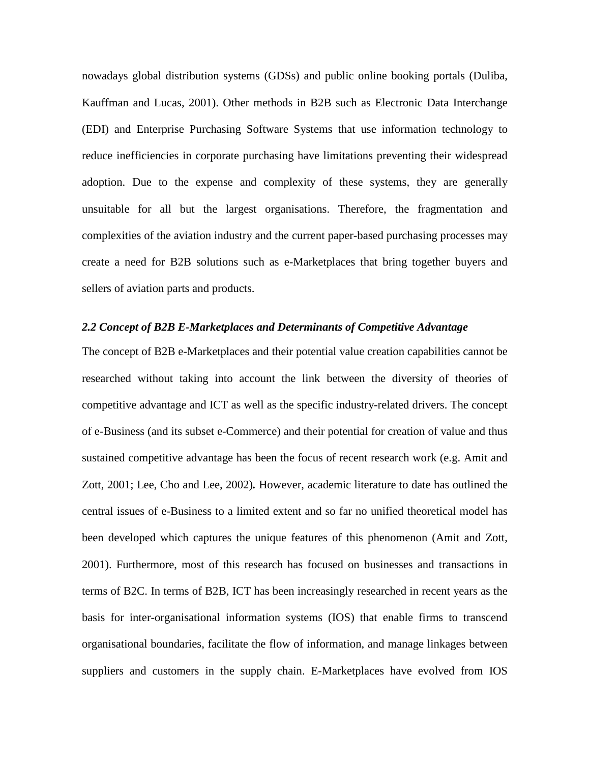nowadays global distribution systems (GDSs) and public online booking portals (Duliba, Kauffman and Lucas, 2001). Other methods in B2B such as Electronic Data Interchange (EDI) and Enterprise Purchasing Software Systems that use information technology to reduce inefficiencies in corporate purchasing have limitations preventing their widespread adoption. Due to the expense and complexity of these systems, they are generally unsuitable for all but the largest organisations. Therefore, the fragmentation and complexities of the aviation industry and the current paper-based purchasing processes may create a need for B2B solutions such as e-Marketplaces that bring together buyers and sellers of aviation parts and products.

#### *2.2 Concept of B2B E-Marketplaces and Determinants of Competitive Advantage*

The concept of B2B e-Marketplaces and their potential value creation capabilities cannot be researched without taking into account the link between the diversity of theories of competitive advantage and ICT as well as the specific industry-related drivers. The concept of e-Business (and its subset e-Commerce) and their potential for creation of value and thus sustained competitive advantage has been the focus of recent research work (e.g. Amit and Zott, 2001; Lee, Cho and Lee, 2002)*.* However, academic literature to date has outlined the central issues of e-Business to a limited extent and so far no unified theoretical model has been developed which captures the unique features of this phenomenon (Amit and Zott, 2001). Furthermore, most of this research has focused on businesses and transactions in terms of B2C. In terms of B2B, ICT has been increasingly researched in recent years as the basis for inter-organisational information systems (IOS) that enable firms to transcend organisational boundaries, facilitate the flow of information, and manage linkages between suppliers and customers in the supply chain. E-Marketplaces have evolved from IOS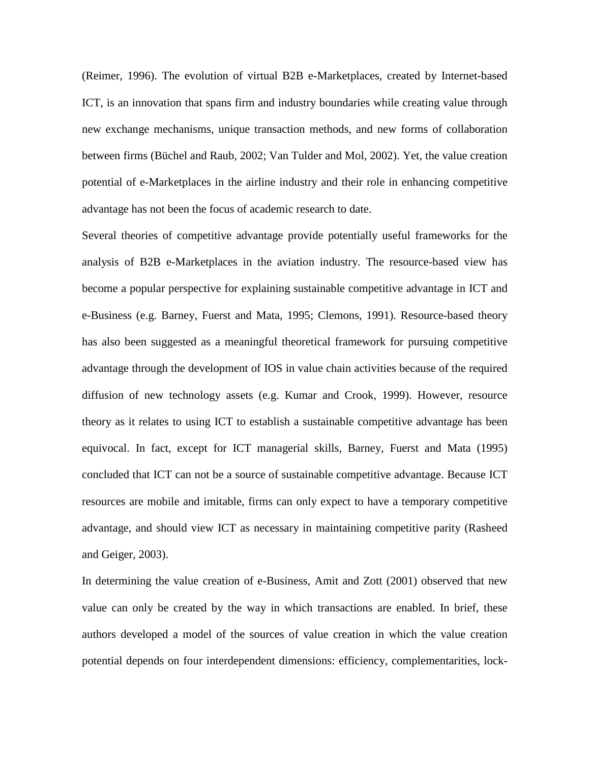(Reimer, 1996). The evolution of virtual B2B e-Marketplaces, created by Internet-based ICT, is an innovation that spans firm and industry boundaries while creating value through new exchange mechanisms, unique transaction methods, and new forms of collaboration between firms (Büchel and Raub, 2002; Van Tulder and Mol, 2002). Yet, the value creation potential of e-Marketplaces in the airline industry and their role in enhancing competitive advantage has not been the focus of academic research to date.

Several theories of competitive advantage provide potentially useful frameworks for the analysis of B2B e-Marketplaces in the aviation industry. The resource-based view has become a popular perspective for explaining sustainable competitive advantage in ICT and e-Business (e.g. Barney, Fuerst and Mata, 1995; Clemons, 1991). Resource-based theory has also been suggested as a meaningful theoretical framework for pursuing competitive advantage through the development of IOS in value chain activities because of the required diffusion of new technology assets (e.g. Kumar and Crook, 1999). However, resource theory as it relates to using ICT to establish a sustainable competitive advantage has been equivocal. In fact, except for ICT managerial skills, Barney, Fuerst and Mata (1995) concluded that ICT can not be a source of sustainable competitive advantage. Because ICT resources are mobile and imitable, firms can only expect to have a temporary competitive advantage, and should view ICT as necessary in maintaining competitive parity (Rasheed and Geiger, 2003).

In determining the value creation of e-Business, Amit and Zott (2001) observed that new value can only be created by the way in which transactions are enabled. In brief, these authors developed a model of the sources of value creation in which the value creation potential depends on four interdependent dimensions: efficiency, complementarities, lock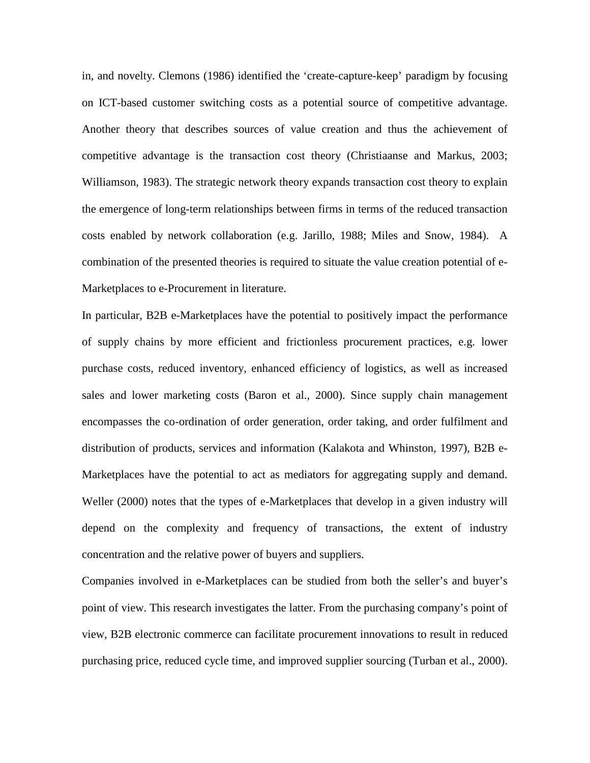in, and novelty. Clemons (1986) identified the 'create-capture-keep' paradigm by focusing on ICT-based customer switching costs as a potential source of competitive advantage. Another theory that describes sources of value creation and thus the achievement of competitive advantage is the transaction cost theory (Christiaanse and Markus, 2003; Williamson, 1983). The strategic network theory expands transaction cost theory to explain the emergence of long-term relationships between firms in terms of the reduced transaction costs enabled by network collaboration (e.g. Jarillo, 1988; Miles and Snow, 1984). A combination of the presented theories is required to situate the value creation potential of e-Marketplaces to e-Procurement in literature.

In particular, B2B e-Marketplaces have the potential to positively impact the performance of supply chains by more efficient and frictionless procurement practices, e.g. lower purchase costs, reduced inventory, enhanced efficiency of logistics, as well as increased sales and lower marketing costs (Baron et al., 2000). Since supply chain management encompasses the co-ordination of order generation, order taking, and order fulfilment and distribution of products, services and information (Kalakota and Whinston, 1997), B2B e-Marketplaces have the potential to act as mediators for aggregating supply and demand. Weller (2000) notes that the types of e-Marketplaces that develop in a given industry will depend on the complexity and frequency of transactions, the extent of industry concentration and the relative power of buyers and suppliers.

Companies involved in e-Marketplaces can be studied from both the seller's and buyer's point of view. This research investigates the latter. From the purchasing company's point of view, B2B electronic commerce can facilitate procurement innovations to result in reduced purchasing price, reduced cycle time, and improved supplier sourcing (Turban et al., 2000).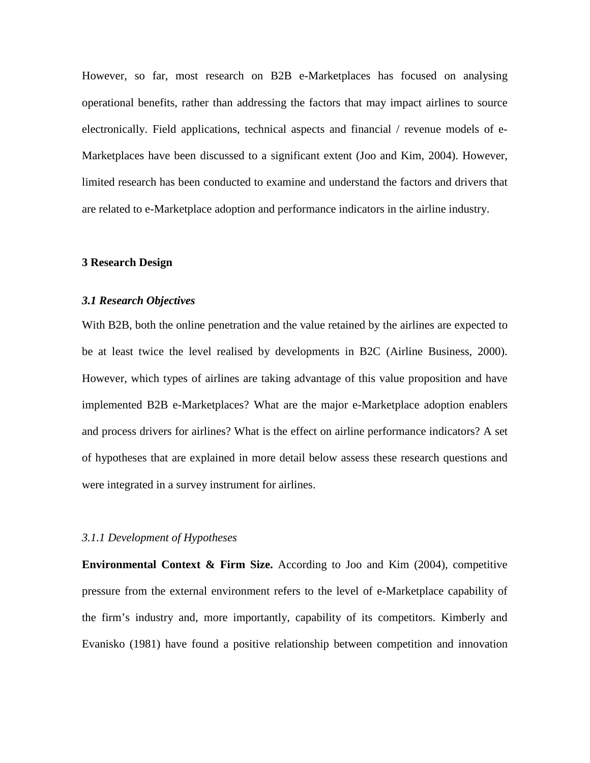However, so far, most research on B2B e-Marketplaces has focused on analysing operational benefits, rather than addressing the factors that may impact airlines to source electronically. Field applications, technical aspects and financial / revenue models of e-Marketplaces have been discussed to a significant extent (Joo and Kim, 2004). However, limited research has been conducted to examine and understand the factors and drivers that are related to e-Marketplace adoption and performance indicators in the airline industry.

#### **3 Research Design**

#### *3.1 Research Objectives*

With B2B, both the online penetration and the value retained by the airlines are expected to be at least twice the level realised by developments in B2C (Airline Business, 2000). However, which types of airlines are taking advantage of this value proposition and have implemented B2B e-Marketplaces? What are the major e-Marketplace adoption enablers and process drivers for airlines? What is the effect on airline performance indicators? A set of hypotheses that are explained in more detail below assess these research questions and were integrated in a survey instrument for airlines.

#### *3.1.1 Development of Hypotheses*

**Environmental Context & Firm Size.** According to Joo and Kim (2004), competitive pressure from the external environment refers to the level of e-Marketplace capability of the firm's industry and, more importantly, capability of its competitors. Kimberly and Evanisko (1981) have found a positive relationship between competition and innovation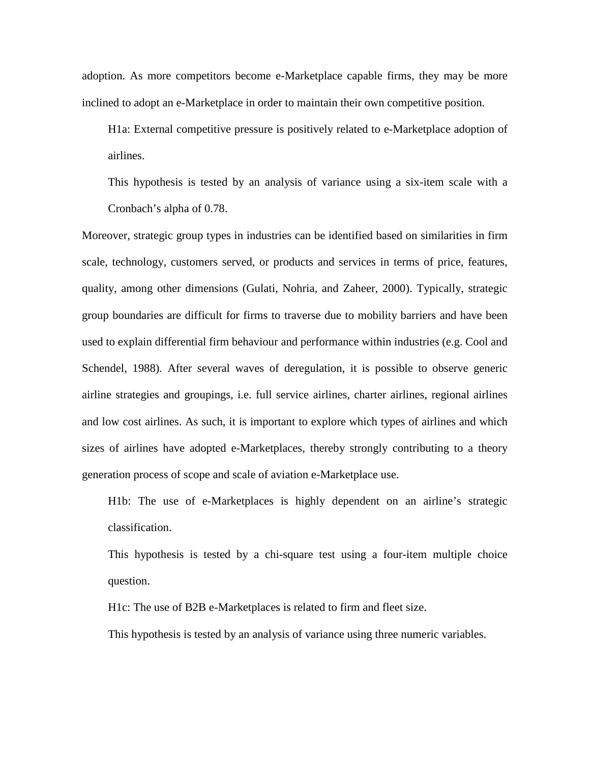adoption. As more competitors become e-Marketplace capable firms, they may be more inclined to adopt an e-Marketplace in order to maintain their own competitive position.

H1a: External competitive pressure is positively related to e-Marketplace adoption of airlines.

This hypothesis is tested by an analysis of variance using a six-item scale with a Cronbach's alpha of 0.78.

Moreover, strategic group types in industries can be identified based on similarities in firm scale, technology, customers served, or products and services in terms of price, features, quality, among other dimensions (Gulati, Nohria, and Zaheer, 2000). Typically, strategic group boundaries are difficult for firms to traverse due to mobility barriers and have been used to explain differential firm behaviour and performance within industries (e.g. Cool and Schendel, 1988)*.* After several waves of deregulation, it is possible to observe generic airline strategies and groupings, i.e. full service airlines, charter airlines, regional airlines and low cost airlines. As such, it is important to explore which types of airlines and which sizes of airlines have adopted e-Marketplaces, thereby strongly contributing to a theory generation process of scope and scale of aviation e-Marketplace use.

H1b: The use of e-Marketplaces is highly dependent on an airline's strategic classification.

This hypothesis is tested by a chi-square test using a four-item multiple choice question.

H1c: The use of B2B e-Marketplaces is related to firm and fleet size.

This hypothesis is tested by an analysis of variance using three numeric variables.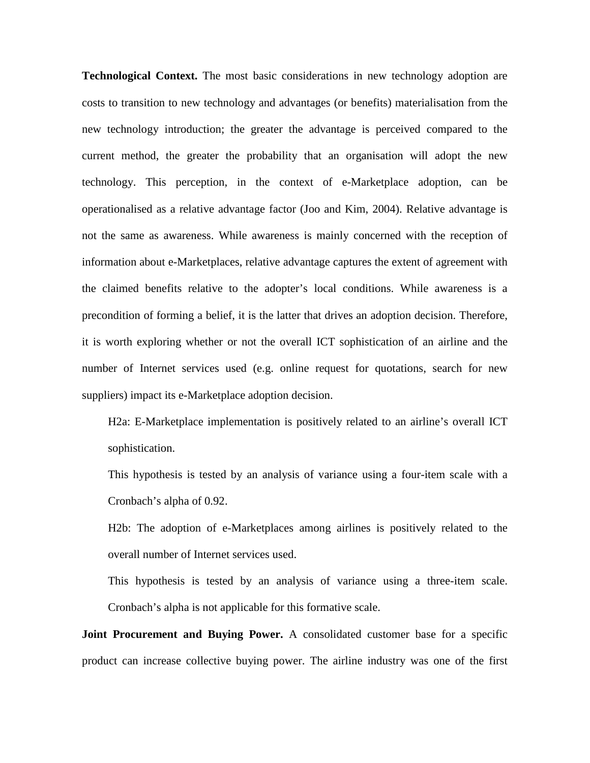**Technological Context.** The most basic considerations in new technology adoption are costs to transition to new technology and advantages (or benefits) materialisation from the new technology introduction; the greater the advantage is perceived compared to the current method, the greater the probability that an organisation will adopt the new technology. This perception, in the context of e-Marketplace adoption, can be operationalised as a relative advantage factor (Joo and Kim, 2004). Relative advantage is not the same as awareness. While awareness is mainly concerned with the reception of information about e-Marketplaces, relative advantage captures the extent of agreement with the claimed benefits relative to the adopter's local conditions. While awareness is a precondition of forming a belief, it is the latter that drives an adoption decision. Therefore, it is worth exploring whether or not the overall ICT sophistication of an airline and the number of Internet services used (e.g. online request for quotations, search for new suppliers) impact its e-Marketplace adoption decision.

H2a: E-Marketplace implementation is positively related to an airline's overall ICT sophistication.

This hypothesis is tested by an analysis of variance using a four-item scale with a Cronbach's alpha of 0.92.

H2b: The adoption of e-Marketplaces among airlines is positively related to the overall number of Internet services used.

This hypothesis is tested by an analysis of variance using a three-item scale. Cronbach's alpha is not applicable for this formative scale.

**Joint Procurement and Buying Power.** A consolidated customer base for a specific product can increase collective buying power. The airline industry was one of the first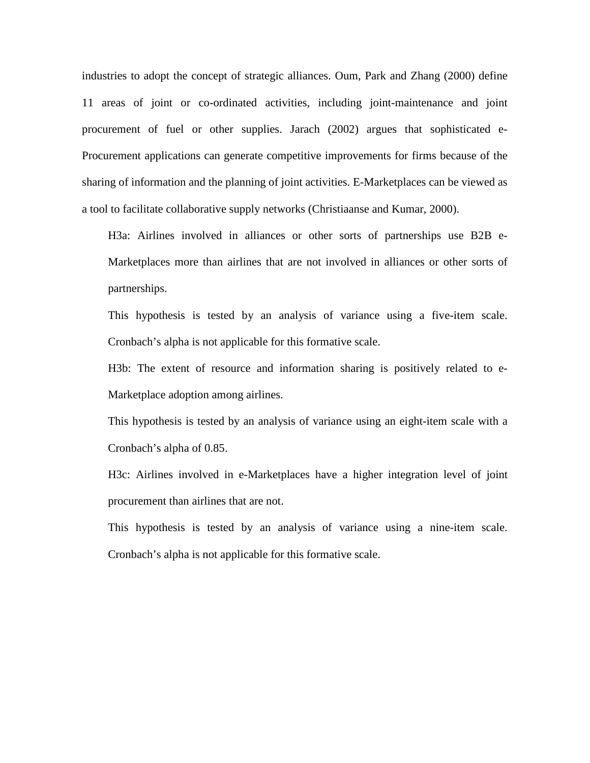industries to adopt the concept of strategic alliances. Oum, Park and Zhang (2000) define 11 areas of joint or co-ordinated activities, including joint-maintenance and joint procurement of fuel or other supplies. Jarach (2002) argues that sophisticated e-Procurement applications can generate competitive improvements for firms because of the sharing of information and the planning of joint activities. E-Marketplaces can be viewed as a tool to facilitate collaborative supply networks (Christiaanse and Kumar, 2000).

H3a: Airlines involved in alliances or other sorts of partnerships use B2B e-Marketplaces more than airlines that are not involved in alliances or other sorts of partnerships.

This hypothesis is tested by an analysis of variance using a five-item scale. Cronbach's alpha is not applicable for this formative scale.

H3b: The extent of resource and information sharing is positively related to e-Marketplace adoption among airlines.

This hypothesis is tested by an analysis of variance using an eight-item scale with a Cronbach's alpha of 0.85.

H3c: Airlines involved in e-Marketplaces have a higher integration level of joint procurement than airlines that are not.

This hypothesis is tested by an analysis of variance using a nine-item scale. Cronbach's alpha is not applicable for this formative scale.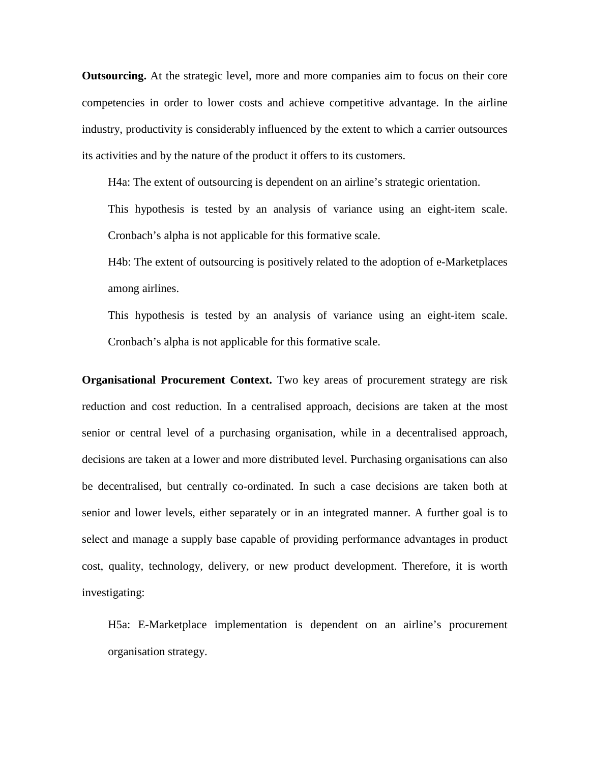**Outsourcing.** At the strategic level, more and more companies aim to focus on their core competencies in order to lower costs and achieve competitive advantage. In the airline industry, productivity is considerably influenced by the extent to which a carrier outsources its activities and by the nature of the product it offers to its customers.

H4a: The extent of outsourcing is dependent on an airline's strategic orientation.

This hypothesis is tested by an analysis of variance using an eight-item scale. Cronbach's alpha is not applicable for this formative scale.

H4b: The extent of outsourcing is positively related to the adoption of e-Marketplaces among airlines.

This hypothesis is tested by an analysis of variance using an eight-item scale. Cronbach's alpha is not applicable for this formative scale.

**Organisational Procurement Context.** Two key areas of procurement strategy are risk reduction and cost reduction. In a centralised approach, decisions are taken at the most senior or central level of a purchasing organisation, while in a decentralised approach, decisions are taken at a lower and more distributed level. Purchasing organisations can also be decentralised, but centrally co-ordinated. In such a case decisions are taken both at senior and lower levels, either separately or in an integrated manner. A further goal is to select and manage a supply base capable of providing performance advantages in product cost, quality, technology, delivery, or new product development. Therefore, it is worth investigating:

H5a: E-Marketplace implementation is dependent on an airline's procurement organisation strategy.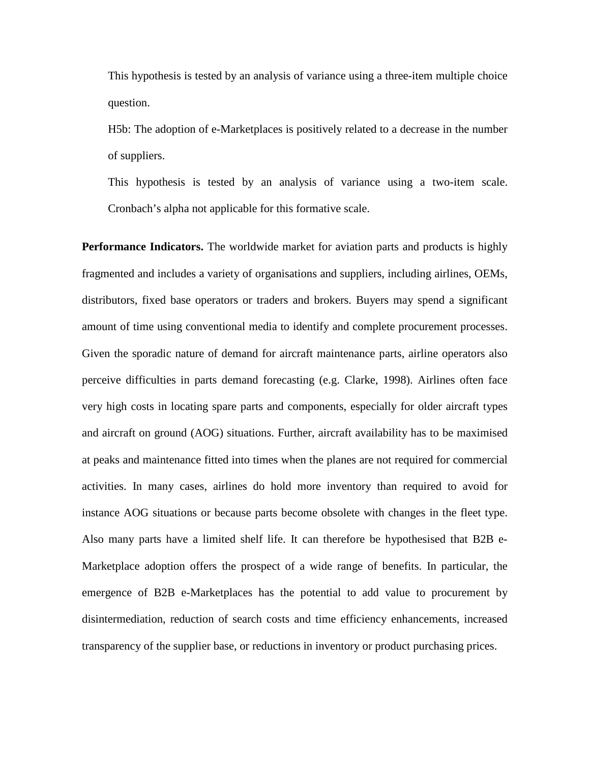This hypothesis is tested by an analysis of variance using a three-item multiple choice question.

H5b: The adoption of e-Marketplaces is positively related to a decrease in the number of suppliers.

This hypothesis is tested by an analysis of variance using a two-item scale. Cronbach's alpha not applicable for this formative scale.

**Performance Indicators.** The worldwide market for aviation parts and products is highly fragmented and includes a variety of organisations and suppliers, including airlines, OEMs, distributors, fixed base operators or traders and brokers. Buyers may spend a significant amount of time using conventional media to identify and complete procurement processes. Given the sporadic nature of demand for aircraft maintenance parts, airline operators also perceive difficulties in parts demand forecasting (e.g. Clarke, 1998). Airlines often face very high costs in locating spare parts and components, especially for older aircraft types and aircraft on ground (AOG) situations. Further, aircraft availability has to be maximised at peaks and maintenance fitted into times when the planes are not required for commercial activities. In many cases, airlines do hold more inventory than required to avoid for instance AOG situations or because parts become obsolete with changes in the fleet type. Also many parts have a limited shelf life. It can therefore be hypothesised that B2B e-Marketplace adoption offers the prospect of a wide range of benefits. In particular, the emergence of B2B e-Marketplaces has the potential to add value to procurement by disintermediation, reduction of search costs and time efficiency enhancements, increased transparency of the supplier base, or reductions in inventory or product purchasing prices.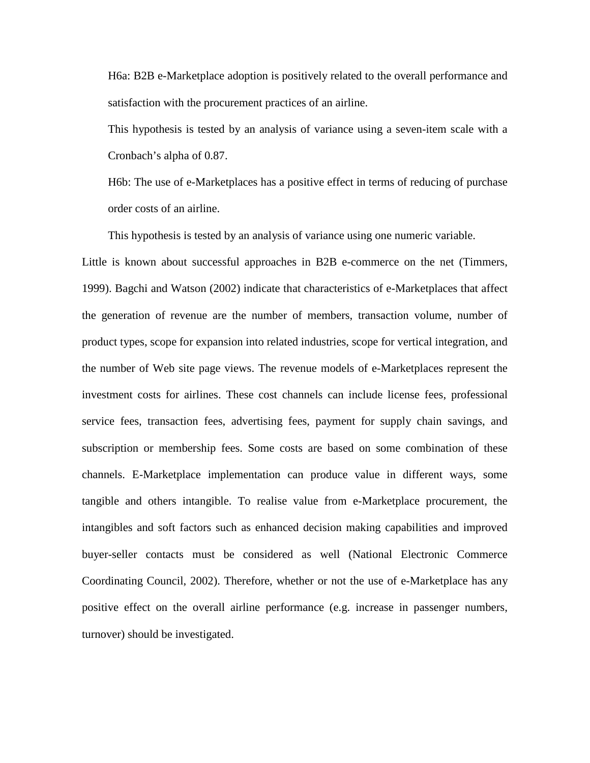H6a: B2B e-Marketplace adoption is positively related to the overall performance and satisfaction with the procurement practices of an airline.

This hypothesis is tested by an analysis of variance using a seven-item scale with a Cronbach's alpha of 0.87.

H6b: The use of e-Marketplaces has a positive effect in terms of reducing of purchase order costs of an airline.

This hypothesis is tested by an analysis of variance using one numeric variable.

Little is known about successful approaches in B2B e-commerce on the net (Timmers, 1999). Bagchi and Watson (2002) indicate that characteristics of e-Marketplaces that affect the generation of revenue are the number of members, transaction volume, number of product types, scope for expansion into related industries, scope for vertical integration, and the number of Web site page views. The revenue models of e-Marketplaces represent the investment costs for airlines. These cost channels can include license fees, professional service fees, transaction fees, advertising fees, payment for supply chain savings, and subscription or membership fees. Some costs are based on some combination of these channels. E-Marketplace implementation can produce value in different ways, some tangible and others intangible. To realise value from e-Marketplace procurement, the intangibles and soft factors such as enhanced decision making capabilities and improved buyer-seller contacts must be considered as well (National Electronic Commerce Coordinating Council, 2002). Therefore, whether or not the use of e-Marketplace has any positive effect on the overall airline performance (e.g. increase in passenger numbers, turnover) should be investigated.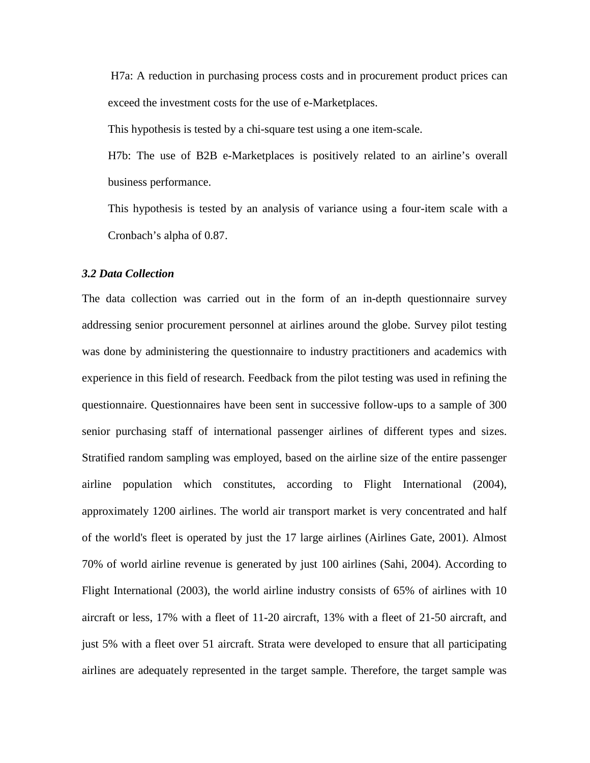H7a: A reduction in purchasing process costs and in procurement product prices can exceed the investment costs for the use of e-Marketplaces.

This hypothesis is tested by a chi-square test using a one item-scale.

H7b: The use of B2B e-Marketplaces is positively related to an airline's overall business performance.

This hypothesis is tested by an analysis of variance using a four-item scale with a Cronbach's alpha of 0.87.

#### *3.2 Data Collection*

The data collection was carried out in the form of an in-depth questionnaire survey addressing senior procurement personnel at airlines around the globe. Survey pilot testing was done by administering the questionnaire to industry practitioners and academics with experience in this field of research. Feedback from the pilot testing was used in refining the questionnaire. Questionnaires have been sent in successive follow-ups to a sample of 300 senior purchasing staff of international passenger airlines of different types and sizes. Stratified random sampling was employed, based on the airline size of the entire passenger airline population which constitutes, according to Flight International (2004), approximately 1200 airlines. The world air transport market is very concentrated and half of the world's fleet is operated by just the 17 large airlines (Airlines Gate, 2001). Almost 70% of world airline revenue is generated by just 100 airlines (Sahi, 2004). According to Flight International (2003), the world airline industry consists of 65% of airlines with 10 aircraft or less, 17% with a fleet of 11-20 aircraft, 13% with a fleet of 21-50 aircraft, and just 5% with a fleet over 51 aircraft. Strata were developed to ensure that all participating airlines are adequately represented in the target sample. Therefore, the target sample was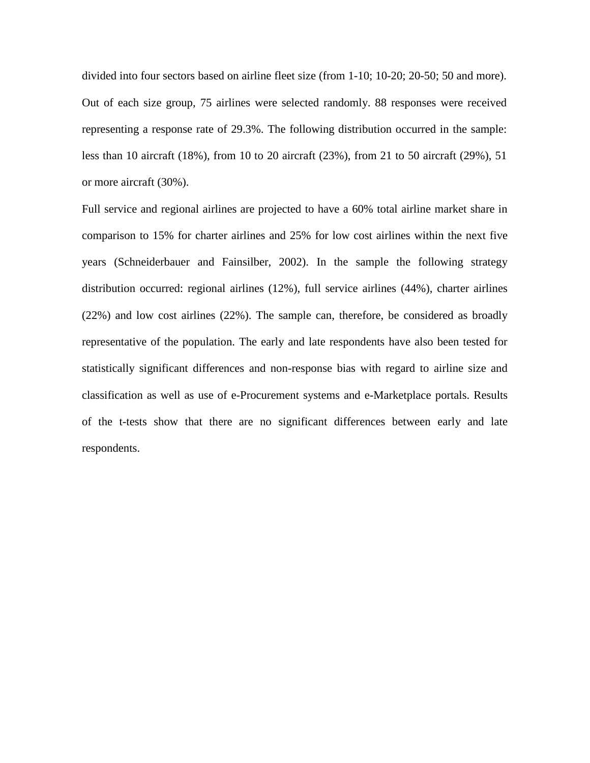divided into four sectors based on airline fleet size (from 1-10; 10-20; 20-50; 50 and more). Out of each size group, 75 airlines were selected randomly. 88 responses were received representing a response rate of 29.3%. The following distribution occurred in the sample: less than 10 aircraft (18%), from 10 to 20 aircraft (23%), from 21 to 50 aircraft (29%), 51 or more aircraft (30%).

Full service and regional airlines are projected to have a 60% total airline market share in comparison to 15% for charter airlines and 25% for low cost airlines within the next five years (Schneiderbauer and Fainsilber, 2002). In the sample the following strategy distribution occurred: regional airlines (12%), full service airlines (44%), charter airlines (22%) and low cost airlines (22%). The sample can, therefore, be considered as broadly representative of the population. The early and late respondents have also been tested for statistically significant differences and non-response bias with regard to airline size and classification as well as use of e-Procurement systems and e-Marketplace portals. Results of the t-tests show that there are no significant differences between early and late respondents.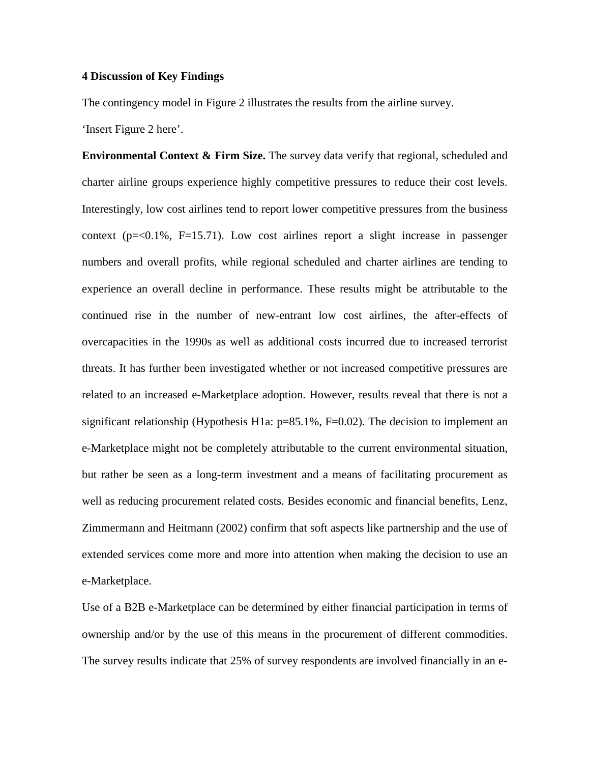#### **4 Discussion of Key Findings**

The contingency model in Figure 2 illustrates the results from the airline survey.

'Insert Figure 2 here'.

**Environmental Context & Firm Size.** The survey data verify that regional, scheduled and charter airline groups experience highly competitive pressures to reduce their cost levels. Interestingly, low cost airlines tend to report lower competitive pressures from the business context ( $p = 0.1\%$ ,  $F = 15.71$ ). Low cost airlines report a slight increase in passenger numbers and overall profits, while regional scheduled and charter airlines are tending to experience an overall decline in performance. These results might be attributable to the continued rise in the number of new-entrant low cost airlines, the after-effects of overcapacities in the 1990s as well as additional costs incurred due to increased terrorist threats. It has further been investigated whether or not increased competitive pressures are related to an increased e-Marketplace adoption. However, results reveal that there is not a significant relationship (Hypothesis H1a:  $p=85.1\%$ , F=0.02). The decision to implement an e-Marketplace might not be completely attributable to the current environmental situation, but rather be seen as a long-term investment and a means of facilitating procurement as well as reducing procurement related costs. Besides economic and financial benefits, Lenz, Zimmermann and Heitmann (2002) confirm that soft aspects like partnership and the use of extended services come more and more into attention when making the decision to use an e-Marketplace.

Use of a B2B e-Marketplace can be determined by either financial participation in terms of ownership and/or by the use of this means in the procurement of different commodities. The survey results indicate that 25% of survey respondents are involved financially in an e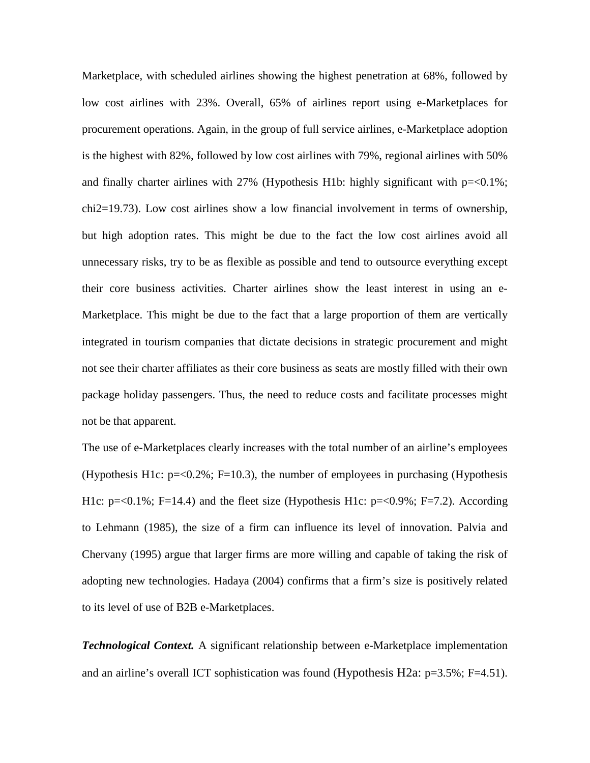Marketplace, with scheduled airlines showing the highest penetration at 68%, followed by low cost airlines with 23%. Overall, 65% of airlines report using e-Marketplaces for procurement operations. Again, in the group of full service airlines, e-Marketplace adoption is the highest with 82%, followed by low cost airlines with 79%, regional airlines with 50% and finally charter airlines with  $27\%$  (Hypothesis H1b: highly significant with  $p=<0.1\%$ ; chi2=19.73). Low cost airlines show a low financial involvement in terms of ownership, but high adoption rates. This might be due to the fact the low cost airlines avoid all unnecessary risks, try to be as flexible as possible and tend to outsource everything except their core business activities. Charter airlines show the least interest in using an e-Marketplace. This might be due to the fact that a large proportion of them are vertically integrated in tourism companies that dictate decisions in strategic procurement and might not see their charter affiliates as their core business as seats are mostly filled with their own package holiday passengers. Thus, the need to reduce costs and facilitate processes might not be that apparent.

The use of e-Marketplaces clearly increases with the total number of an airline's employees (Hypothesis H1c:  $p = 0.2\%$ ; F=10.3), the number of employees in purchasing (Hypothesis H1c: p=<0.1%; F=14.4) and the fleet size (Hypothesis H1c: p=<0.9%; F=7.2). According to Lehmann (1985), the size of a firm can influence its level of innovation. Palvia and Chervany (1995) argue that larger firms are more willing and capable of taking the risk of adopting new technologies. Hadaya (2004) confirms that a firm's size is positively related to its level of use of B2B e-Marketplaces.

*Technological Context.* A significant relationship between e-Marketplace implementation and an airline's overall ICT sophistication was found (Hypothesis H2a: p=3.5%; F=4.51).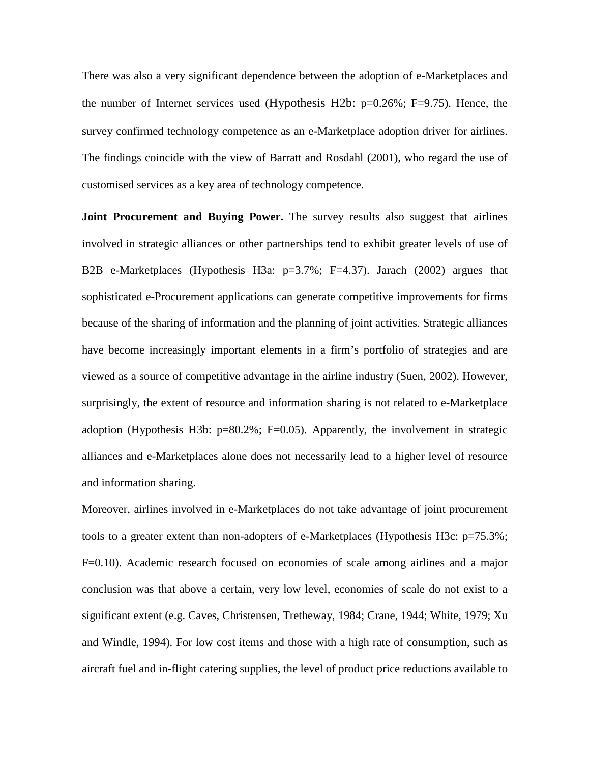There was also a very significant dependence between the adoption of e-Marketplaces and the number of Internet services used (Hypothesis H2b:  $p=0.26\%$ ; F=9.75). Hence, the survey confirmed technology competence as an e-Marketplace adoption driver for airlines. The findings coincide with the view of Barratt and Rosdahl (2001), who regard the use of customised services as a key area of technology competence.

**Joint Procurement and Buying Power.** The survey results also suggest that airlines involved in strategic alliances or other partnerships tend to exhibit greater levels of use of B2B e-Marketplaces (Hypothesis H3a: p=3.7%; F=4.37). Jarach (2002) argues that sophisticated e-Procurement applications can generate competitive improvements for firms because of the sharing of information and the planning of joint activities. Strategic alliances have become increasingly important elements in a firm's portfolio of strategies and are viewed as a source of competitive advantage in the airline industry (Suen, 2002). However, surprisingly, the extent of resource and information sharing is not related to e-Marketplace adoption (Hypothesis H3b:  $p=80.2\%$ ; F=0.05). Apparently, the involvement in strategic alliances and e-Marketplaces alone does not necessarily lead to a higher level of resource and information sharing.

Moreover, airlines involved in e-Marketplaces do not take advantage of joint procurement tools to a greater extent than non-adopters of e-Marketplaces (Hypothesis H3c: p=75.3%; F=0.10). Academic research focused on economies of scale among airlines and a major conclusion was that above a certain, very low level, economies of scale do not exist to a significant extent (e.g. Caves, Christensen, Tretheway, 1984; Crane, 1944; White, 1979; Xu and Windle, 1994). For low cost items and those with a high rate of consumption, such as aircraft fuel and in-flight catering supplies, the level of product price reductions available to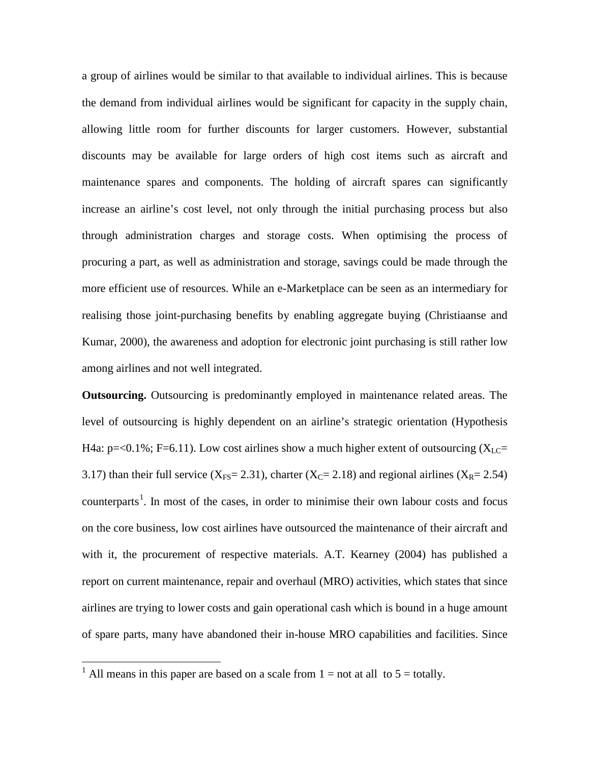a group of airlines would be similar to that available to individual airlines. This is because the demand from individual airlines would be significant for capacity in the supply chain, allowing little room for further discounts for larger customers. However, substantial discounts may be available for large orders of high cost items such as aircraft and maintenance spares and components. The holding of aircraft spares can significantly increase an airline's cost level, not only through the initial purchasing process but also through administration charges and storage costs. When optimising the process of procuring a part, as well as administration and storage, savings could be made through the more efficient use of resources. While an e-Marketplace can be seen as an intermediary for realising those joint-purchasing benefits by enabling aggregate buying (Christiaanse and Kumar, 2000), the awareness and adoption for electronic joint purchasing is still rather low among airlines and not well integrated.

**Outsourcing.** Outsourcing is predominantly employed in maintenance related areas. The level of outsourcing is highly dependent on an airline's strategic orientation (Hypothesis H4a:  $p = 0.1\%$ ; F=6.11). Low cost airlines show a much higher extent of outsourcing (X<sub>LC</sub>= 3.17) than their full service ( $X_{FS}$ = 2.31), charter ( $X_{C}$ = 2.18) and regional airlines ( $X_{R}$ = 2.54) counterparts<sup>[1](#page-22-0)</sup>. In most of the cases, in order to minimise their own labour costs and focus on the core business, low cost airlines have outsourced the maintenance of their aircraft and with it, the procurement of respective materials. A.T. Kearney (2004) has published a report on current maintenance, repair and overhaul (MRO) activities, which states that since airlines are trying to lower costs and gain operational cash which is bound in a huge amount of spare parts, many have abandoned their in-house MRO capabilities and facilities. Since

<span id="page-22-0"></span><sup>&</sup>lt;sup>1</sup> All means in this paper are based on a scale from  $1 =$  not at all to  $5 =$  totally.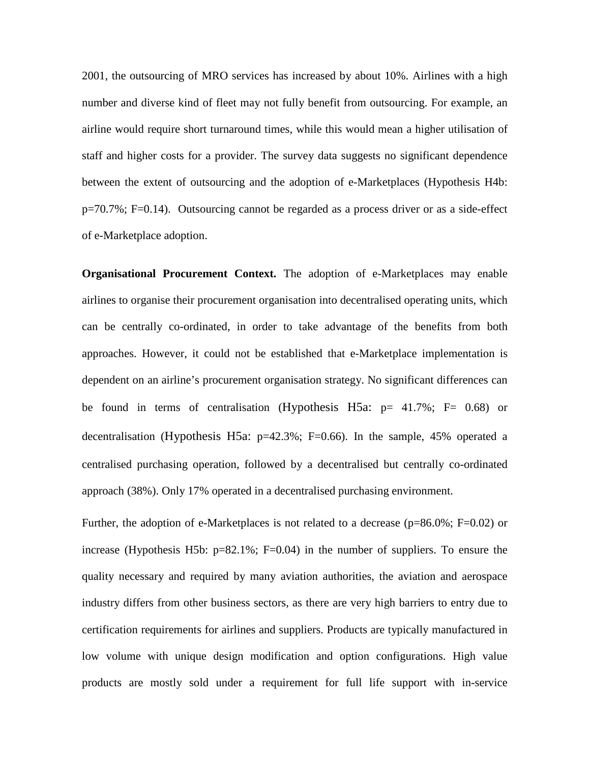2001, the outsourcing of MRO services has increased by about 10%. Airlines with a high number and diverse kind of fleet may not fully benefit from outsourcing. For example, an airline would require short turnaround times, while this would mean a higher utilisation of staff and higher costs for a provider. The survey data suggests no significant dependence between the extent of outsourcing and the adoption of e-Marketplaces (Hypothesis H4b: p=70.7%; F=0.14). Outsourcing cannot be regarded as a process driver or as a side-effect of e-Marketplace adoption.

**Organisational Procurement Context.** The adoption of e-Marketplaces may enable airlines to organise their procurement organisation into decentralised operating units, which can be centrally co-ordinated, in order to take advantage of the benefits from both approaches. However, it could not be established that e-Marketplace implementation is dependent on an airline's procurement organisation strategy. No significant differences can be found in terms of centralisation (Hypothesis H5a:  $p= 41.7\%$ ; F= 0.68) or decentralisation (Hypothesis H5a: p=42.3%; F=0.66). In the sample, 45% operated a centralised purchasing operation, followed by a decentralised but centrally co-ordinated approach (38%). Only 17% operated in a decentralised purchasing environment.

Further, the adoption of e-Marketplaces is not related to a decrease (p=86.0%; F=0.02) or increase (Hypothesis H5b:  $p=82.1\%$ ; F=0.04) in the number of suppliers. To ensure the quality necessary and required by many aviation authorities, the aviation and aerospace industry differs from other business sectors, as there are very high barriers to entry due to certification requirements for airlines and suppliers. Products are typically manufactured in low volume with unique design modification and option configurations. High value products are mostly sold under a requirement for full life support with in-service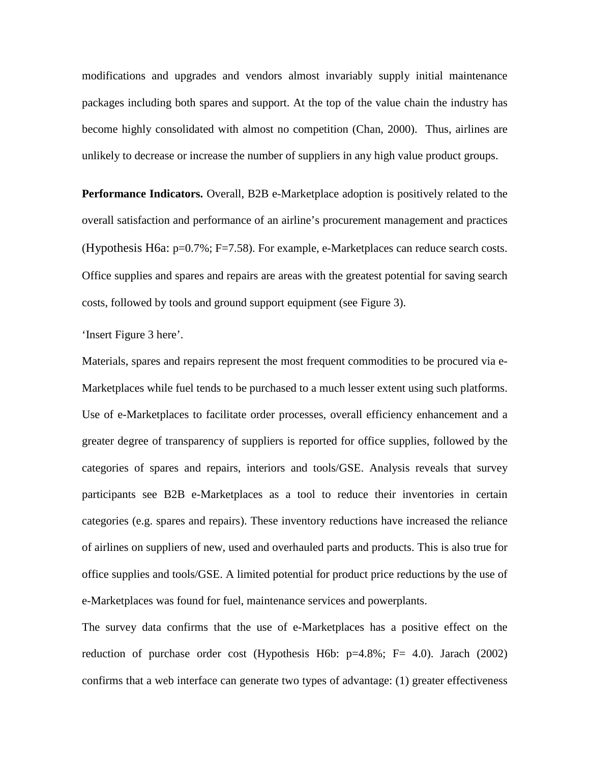modifications and upgrades and vendors almost invariably supply initial maintenance packages including both spares and support. At the top of the value chain the industry has become highly consolidated with almost no competition (Chan, 2000). Thus, airlines are unlikely to decrease or increase the number of suppliers in any high value product groups.

**Performance Indicators.** Overall, B2B e-Marketplace adoption is positively related to the overall satisfaction and performance of an airline's procurement management and practices (Hypothesis H6a: p=0.7%; F=7.58). For example, e-Marketplaces can reduce search costs. Office supplies and spares and repairs are areas with the greatest potential for saving search costs, followed by tools and ground support equipment (see Figure 3).

'Insert Figure 3 here'.

Materials, spares and repairs represent the most frequent commodities to be procured via e-Marketplaces while fuel tends to be purchased to a much lesser extent using such platforms. Use of e-Marketplaces to facilitate order processes, overall efficiency enhancement and a greater degree of transparency of suppliers is reported for office supplies, followed by the categories of spares and repairs, interiors and tools/GSE. Analysis reveals that survey participants see B2B e-Marketplaces as a tool to reduce their inventories in certain categories (e.g. spares and repairs). These inventory reductions have increased the reliance of airlines on suppliers of new, used and overhauled parts and products. This is also true for office supplies and tools/GSE. A limited potential for product price reductions by the use of e-Marketplaces was found for fuel, maintenance services and powerplants.

The survey data confirms that the use of e-Marketplaces has a positive effect on the reduction of purchase order cost (Hypothesis H6b: p=4.8%; F= 4.0). Jarach (2002) confirms that a web interface can generate two types of advantage: (1) greater effectiveness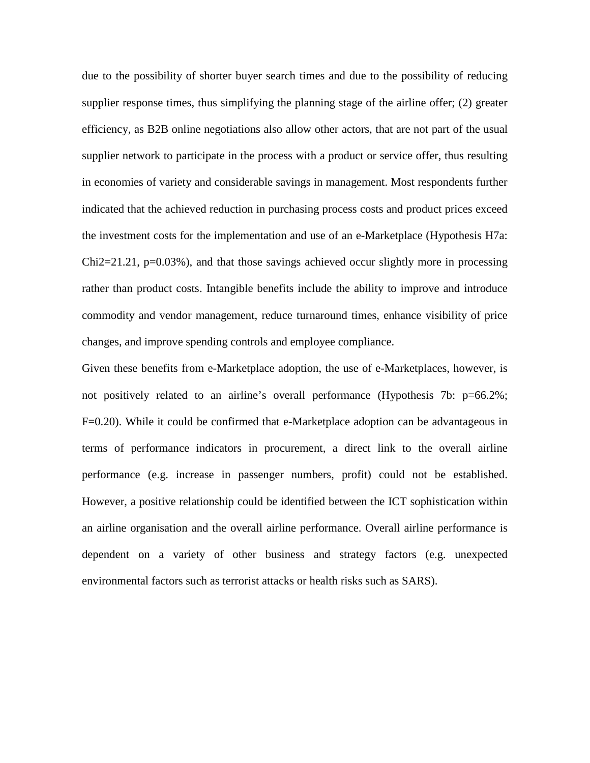due to the possibility of shorter buyer search times and due to the possibility of reducing supplier response times, thus simplifying the planning stage of the airline offer; (2) greater efficiency, as B2B online negotiations also allow other actors, that are not part of the usual supplier network to participate in the process with a product or service offer, thus resulting in economies of variety and considerable savings in management. Most respondents further indicated that the achieved reduction in purchasing process costs and product prices exceed the investment costs for the implementation and use of an e-Marketplace (Hypothesis H7a:  $Chi2=21.21$ ,  $p=0.03\%$ ), and that those savings achieved occur slightly more in processing rather than product costs. Intangible benefits include the ability to improve and introduce commodity and vendor management, reduce turnaround times, enhance visibility of price changes, and improve spending controls and employee compliance.

Given these benefits from e-Marketplace adoption, the use of e-Marketplaces, however, is not positively related to an airline's overall performance (Hypothesis 7b: p=66.2%; F=0.20). While it could be confirmed that e-Marketplace adoption can be advantageous in terms of performance indicators in procurement, a direct link to the overall airline performance (e.g. increase in passenger numbers, profit) could not be established. However, a positive relationship could be identified between the ICT sophistication within an airline organisation and the overall airline performance. Overall airline performance is dependent on a variety of other business and strategy factors (e.g. unexpected environmental factors such as terrorist attacks or health risks such as SARS).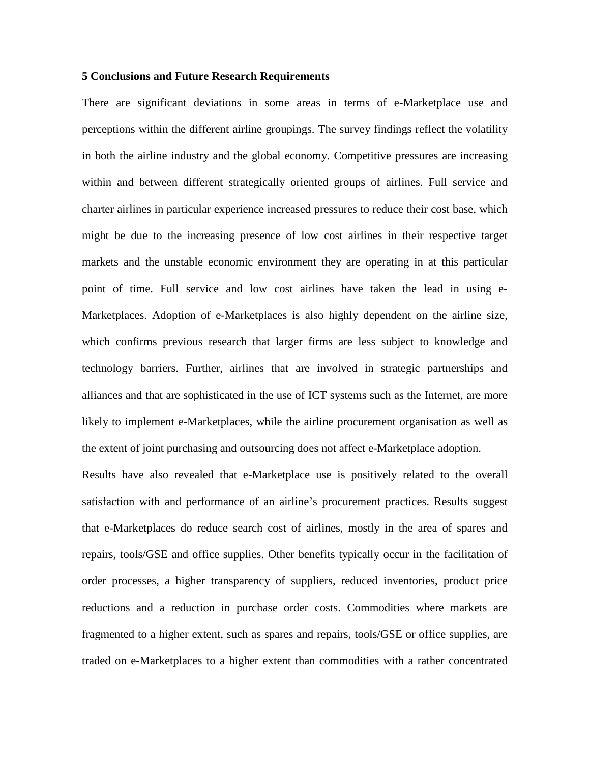#### **5 Conclusions and Future Research Requirements**

There are significant deviations in some areas in terms of e-Marketplace use and perceptions within the different airline groupings. The survey findings reflect the volatility in both the airline industry and the global economy. Competitive pressures are increasing within and between different strategically oriented groups of airlines. Full service and charter airlines in particular experience increased pressures to reduce their cost base, which might be due to the increasing presence of low cost airlines in their respective target markets and the unstable economic environment they are operating in at this particular point of time. Full service and low cost airlines have taken the lead in using e-Marketplaces. Adoption of e-Marketplaces is also highly dependent on the airline size, which confirms previous research that larger firms are less subject to knowledge and technology barriers. Further, airlines that are involved in strategic partnerships and alliances and that are sophisticated in the use of ICT systems such as the Internet, are more likely to implement e-Marketplaces, while the airline procurement organisation as well as the extent of joint purchasing and outsourcing does not affect e-Marketplace adoption.

Results have also revealed that e-Marketplace use is positively related to the overall satisfaction with and performance of an airline's procurement practices. Results suggest that e-Marketplaces do reduce search cost of airlines, mostly in the area of spares and repairs, tools/GSE and office supplies. Other benefits typically occur in the facilitation of order processes, a higher transparency of suppliers, reduced inventories, product price reductions and a reduction in purchase order costs. Commodities where markets are fragmented to a higher extent, such as spares and repairs, tools/GSE or office supplies, are traded on e-Marketplaces to a higher extent than commodities with a rather concentrated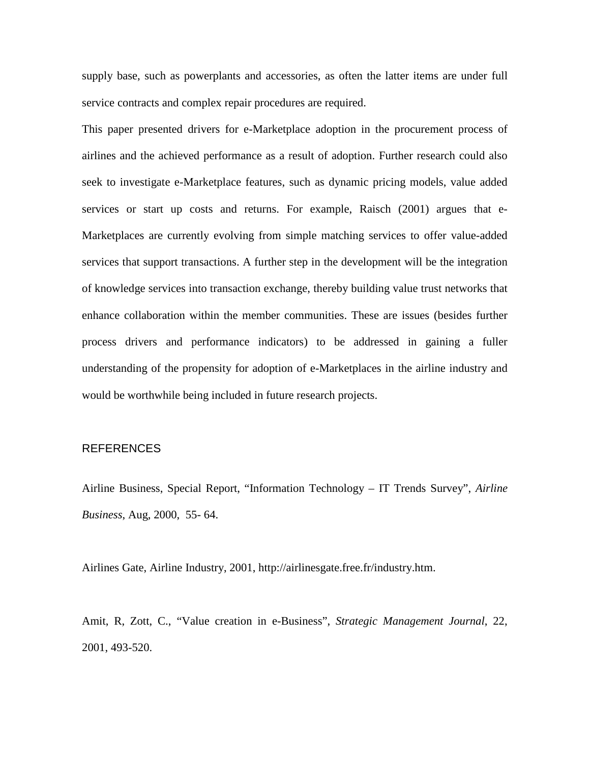supply base, such as powerplants and accessories, as often the latter items are under full service contracts and complex repair procedures are required.

This paper presented drivers for e-Marketplace adoption in the procurement process of airlines and the achieved performance as a result of adoption. Further research could also seek to investigate e-Marketplace features, such as dynamic pricing models, value added services or start up costs and returns. For example, Raisch (2001) argues that e-Marketplaces are currently evolving from simple matching services to offer value-added services that support transactions. A further step in the development will be the integration of knowledge services into transaction exchange, thereby building value trust networks that enhance collaboration within the member communities. These are issues (besides further process drivers and performance indicators) to be addressed in gaining a fuller understanding of the propensity for adoption of e-Marketplaces in the airline industry and would be worthwhile being included in future research projects.

#### REFERENCES

Airline Business, Special Report, "Information Technology – IT Trends Survey", *Airline Business*, Aug, 2000, 55- 64.

Airlines Gate, Airline Industry, 2001, http://airlinesgate.free.fr/industry.htm.

Amit, R, Zott, C., "Value creation in e-Business", *Strategic Management Journal*, 22, 2001, 493-520.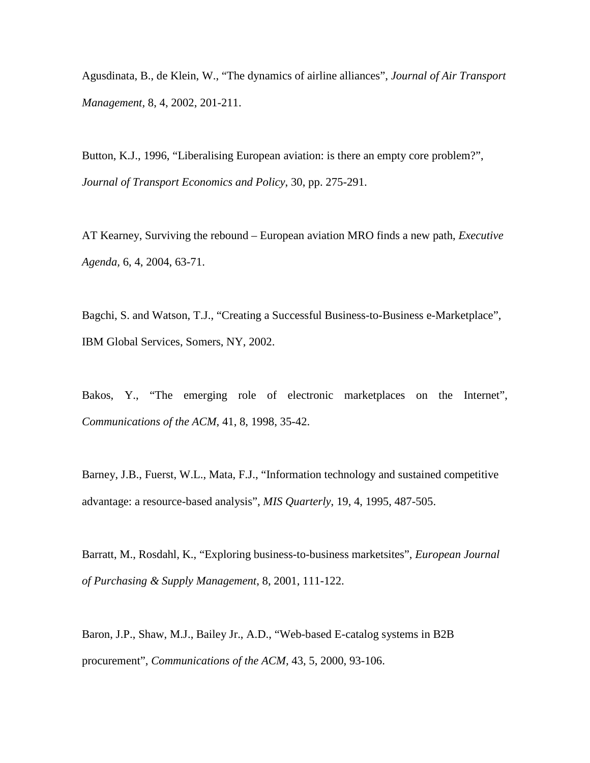Agusdinata, B., de Klein, W., "The dynamics of airline alliances", *Journal of Air Transport Management,* 8, 4, 2002, 201-211.

Button, K.J., 1996, "Liberalising European aviation: is there an empty core problem?", *Journal of Transport Economics and Policy*, 30, pp. 275-291.

AT Kearney, Surviving the rebound – European aviation MRO finds a new path, *Executive Agenda,* 6, 4, 2004, 63-71.

Bagchi, S. and Watson, T.J., "Creating a Successful Business-to-Business e-Marketplace", IBM Global Services, Somers, NY, 2002.

Bakos, Y., "The emerging role of electronic marketplaces on the Internet", *Communications of the ACM*, 41, 8, 1998, 35-42.

Barney, J.B., Fuerst, W.L., Mata, F.J., "Information technology and sustained competitive advantage: a resource-based analysis", *MIS Quarterly*, 19, 4, 1995, 487-505.

Barratt, M., Rosdahl, K., "Exploring business-to-business marketsites", *European Journal of Purchasing & Supply Management*, 8, 2001, 111-122.

Baron, J.P., Shaw, M.J., Bailey Jr., A.D., "Web-based E-catalog systems in B2B procurement", *Communications of the ACM,* 43, 5, 2000, 93-106.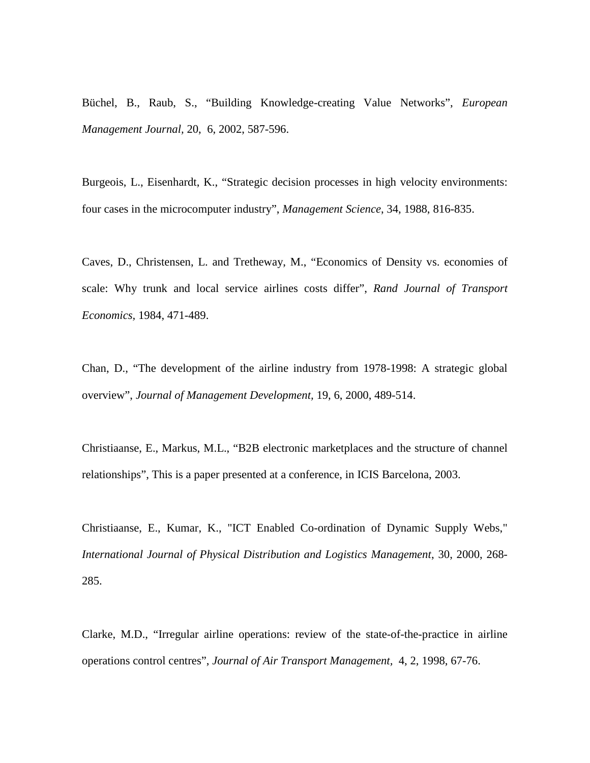Büchel, B., Raub, S., "Building Knowledge-creating Value Networks", *European Management Journal,* 20, 6, 2002, 587-596.

Burgeois, L., Eisenhardt, K., "Strategic decision processes in high velocity environments: four cases in the microcomputer industry", *Management Science*, 34, 1988, 816-835.

Caves, D., Christensen, L. and Tretheway, M., "Economics of Density vs. economies of scale: Why trunk and local service airlines costs differ", *Rand Journal of Transport Economics,* 1984, 471-489.

Chan, D., "The development of the airline industry from 1978-1998: A strategic global overview", *Journal of Management Development,* 19, 6, 2000, 489-514.

Christiaanse, E., Markus, M.L., "B2B electronic marketplaces and the structure of channel relationships", This is a paper presented at a conference, in ICIS Barcelona, 2003.

Christiaanse, E., Kumar, K., "ICT Enabled Co-ordination of Dynamic Supply Webs," *International Journal of Physical Distribution and Logistics Management*, 30, 2000, 268- 285.

Clarke, M.D., "Irregular airline operations: review of the state-of-the-practice in airline operations control centres", *Journal of Air Transport Management,* 4, 2, 1998, 67-76.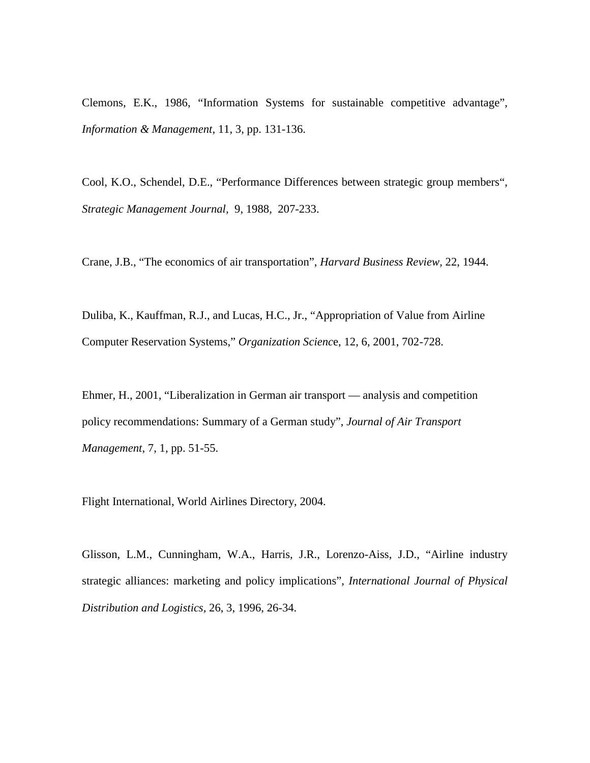Clemons, E.K., 1986, "Information Systems for sustainable competitive advantage", *Information & Management,* 11, 3, pp. 131-136.

Cool, K.O., Schendel, D.E., "Performance Differences between strategic group members", *Strategic Management Journal,* 9, 1988, 207-233.

Crane, J.B., "The economics of air transportation", *Harvard Business Review,* 22, 1944.

Duliba, K., Kauffman, R.J., and Lucas, H.C., Jr., "Appropriation of Value from Airline Computer Reservation Systems," *Organization Scienc*e, 12, 6, 2001, 702-728.

Ehmer, H., 2001, "Liberalization in German air transport –– analysis and competition policy recommendations: Summary of a German study", *Journal of Air Transport Management*, 7, 1, pp. 51-55.

Flight International, World Airlines Directory, 2004.

Glisson, L.M., Cunningham, W.A., Harris, J.R., Lorenzo-Aiss, J.D., "Airline industry strategic alliances: marketing and policy implications", *International Journal of Physical Distribution and Logistics,* 26, 3, 1996, 26-34.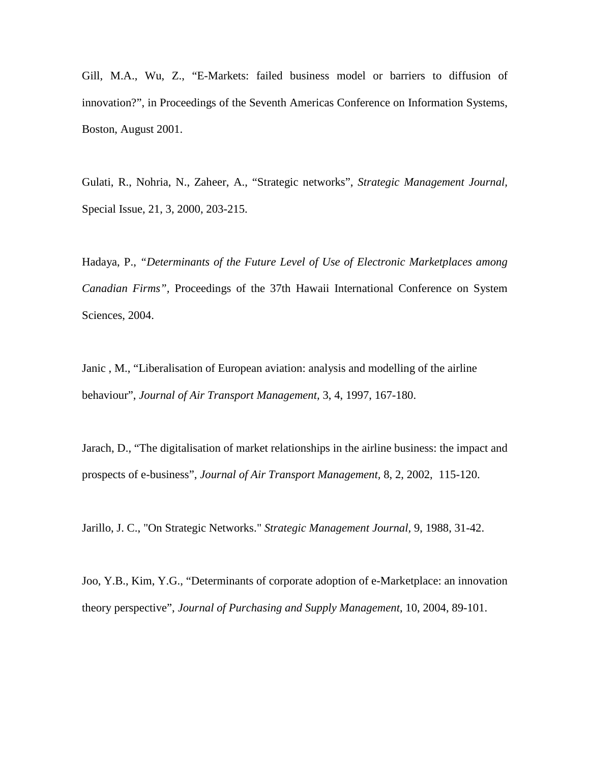Gill, M.A., Wu, Z., "E-Markets: failed business model or barriers to diffusion of innovation?", in Proceedings of the Seventh Americas Conference on Information Systems, Boston, August 2001.

Gulati, R., Nohria, N., Zaheer, A., "Strategic networks", *Strategic Management Journal,* Special Issue, 21, 3, 2000, 203-215.

Hadaya, P., *"Determinants of the Future Level of Use of Electronic Marketplaces among Canadian Firms",* Proceedings of the 37th Hawaii International Conference on System Sciences, 2004.

Janic , M., "Liberalisation of European aviation: analysis and modelling of the airline behaviour", *Journal of Air Transport Management,* 3, 4, 1997, 167-180.

Jarach, D., "The digitalisation of market relationships in the airline business: the impact and prospects of e-business", *Journal of Air Transport Management,* 8, 2, 2002, 115-120.

Jarillo, J. C., "On Strategic Networks." *Strategic Management Journal,* 9, 1988, 31-42.

Joo, Y.B., Kim, Y.G., "Determinants of corporate adoption of e-Marketplace: an innovation theory perspective", *Journal of Purchasing and Supply Management*, 10, 2004, 89-101.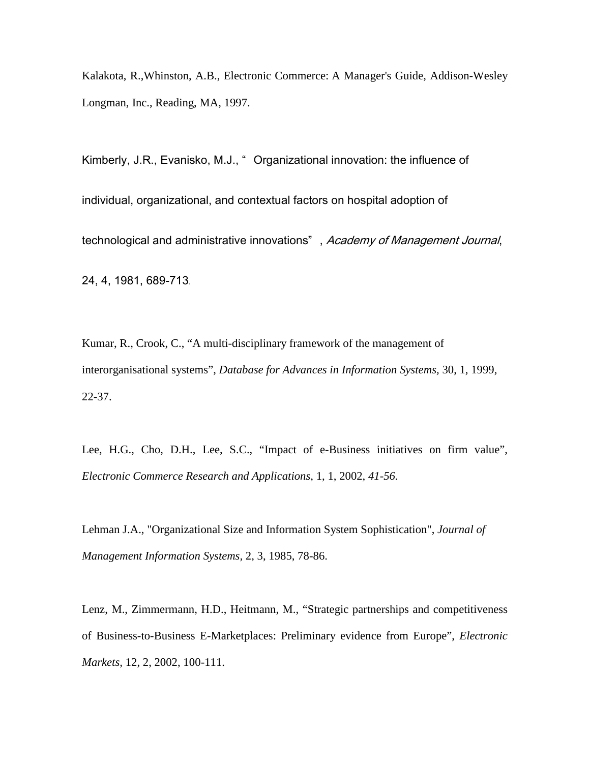Kalakota, R.,Whinston, A.B., Electronic Commerce: A Manager's Guide, Addison-Wesley Longman, Inc., Reading, MA, 1997.

Kimberly, J.R., Evanisko, M.J., " Organizational innovation: the influence of individual, organizational, and contextual factors on hospital adoption of technological and administrative innovations", Academy of Management Journal, 24, 4, 1981, 689-713.

Kumar, R., Crook, C., "A multi-disciplinary framework of the management of interorganisational systems", *Database for Advances in Information Systems,* 30, 1, 1999, 22-37.

Lee, H.G., Cho, D.H., Lee, S.C., "Impact of e-Business initiatives on firm value", *[Electronic Commerce Research and Applications](http://www.sciencedirect.com/science?_ob=JournalURL&_cdi=7329&_auth=y&_acct=C000050221&_version=1&_urlVersion=0&_userid=10&md5=88c36eb28efa064dabe46c704b5d643a)*, 1, 1, 2002, *41-56.* 

Lehman J.A., "Organizational Size and Information System Sophistication", *Journal of Management Information Systems,* 2, 3, 1985, 78-86.

Lenz, M., Zimmermann, H.D., Heitmann, M., "Strategic partnerships and competitiveness of Business-to-Business E-Marketplaces: Preliminary evidence from Europe", *Electronic Markets,* 12, 2, 2002, 100-111.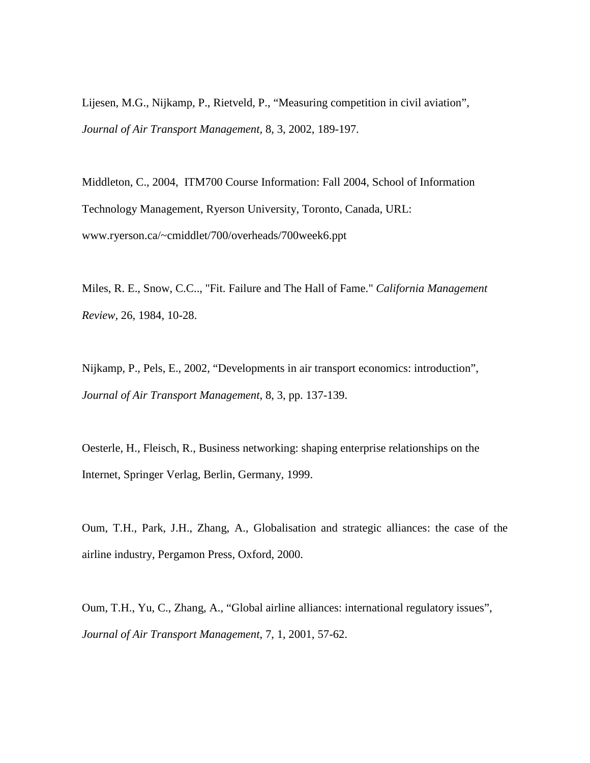Lijesen, M.G., Nijkamp, P., Rietveld, P., "Measuring competition in civil aviation", *Journal of Air Transport Management,* 8, 3, 2002, 189-197.

Middleton, C., 2004, ITM700 Course Information: Fall 2004, School of Information Technology Management, Ryerson University, Toronto, Canada, URL: www.ryerson.ca/~cmiddlet/700/overheads/700week6.ppt

Miles, R. E., Snow, C.C.., "Fit. Failure and The Hall of Fame." *California Management Review,* 26, 1984, 10-28.

Nijkamp, P., Pels, E., 2002, "Developments in air transport economics: introduction", *Journal of Air Transport Management*, 8, 3, pp. 137-139.

Oesterle, H., Fleisch, R., Business networking: shaping enterprise relationships on the Internet, Springer Verlag, Berlin, Germany, 1999.

Oum, T.H., Park, J.H., Zhang, A., Globalisation and strategic alliances: the case of the airline industry, Pergamon Press, Oxford, 2000.

Oum, T.H., Yu, C., Zhang, A., "Global airline alliances: international regulatory issues", *Journal of Air Transport Management*, 7, 1, 2001, 57-62.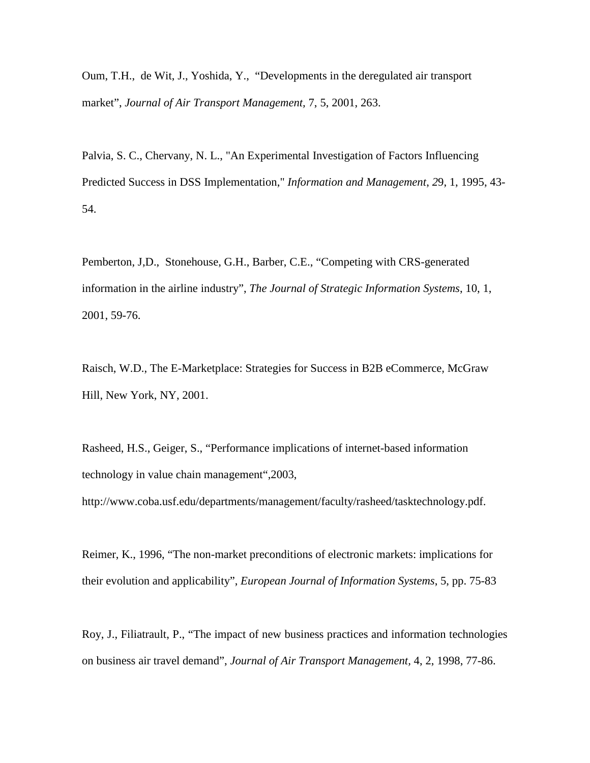Oum, T.H., de Wit, J., Yoshida, Y., "Developments in the deregulated air transport market", *Journal of Air Transport Management,* 7, 5, 2001, 263.

Palvia, S. C., Chervany, N. L., "An Experimental Investigation of Factors Influencing Predicted Success in DSS Implementation," *Information and Management*, *2*9, 1, 1995, 43- 54.

Pemberton, J,D., Stonehouse, G.H., Barber, C.E., "Competing with CRS-generated information in the airline industry", *The Journal of Strategic Information Systems*, 10, 1, 2001, 59-76.

Raisch, W.D., The E-Marketplace: Strategies for Success in B2B eCommerce*,* McGraw Hill, New York, NY, 2001.

Rasheed, H.S., Geiger, S., "Performance implications of internet-based information technology in value chain management",2003,

http://www.coba.usf.edu/departments/management/faculty/rasheed/tasktechnology.pdf.

Reimer, K., 1996, "The non-market preconditions of electronic markets: implications for their evolution and applicability", *European Journal of Information Systems*, 5, pp. 75-83

Roy, J., Filiatrault, P., "The impact of new business practices and information technologies on business air travel demand", *Journal of Air Transport Management,* 4, 2, 1998, 77-86.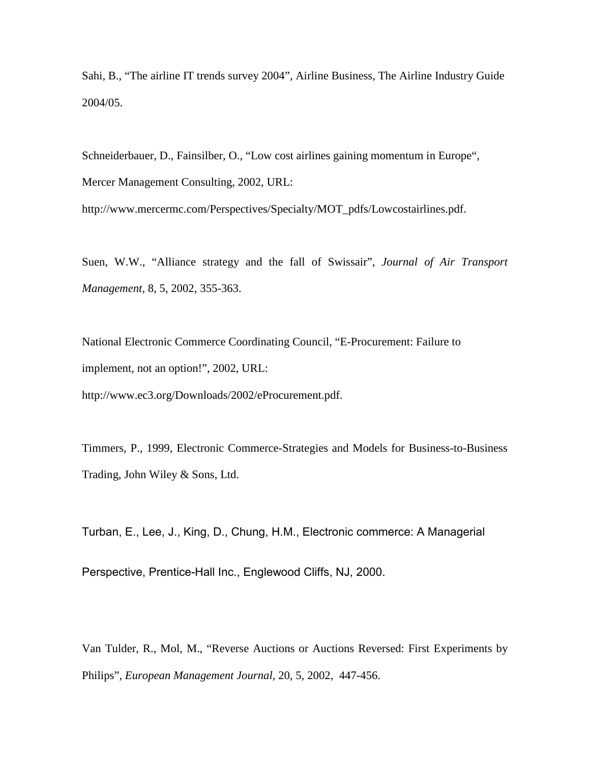Sahi, B., "The airline IT trends survey 2004", Airline Business, The Airline Industry Guide 2004/05.

Schneiderbauer, D., Fainsilber, O., "Low cost airlines gaining momentum in Europe", Mercer Management Consulting, 2002, URL:

http://www.mercermc.com/Perspectives/Specialty/MOT\_pdfs/Lowcostairlines.pdf.

Suen, W.W., "Alliance strategy and the fall of Swissair", *Journal of Air Transport Management,* 8, 5, 2002, 355-363.

National Electronic Commerce Coordinating Council, "E-Procurement: Failure to implement, not an option!", 2002, URL:

http://www.ec3.org/Downloads/2002/eProcurement.pdf.

Timmers, P., 1999, Electronic Commerce-Strategies and Models for Business-to-Business Trading, John Wiley & Sons, Ltd.

Turban, E., Lee, J., King, D., Chung, H.M., Electronic commerce: A Managerial Perspective, Prentice-Hall Inc., Englewood Cliffs, NJ, 2000.

Van Tulder, R., Mol, M., "Reverse Auctions or Auctions Reversed: First Experiments by Philips", *European Management Journal,* 20, 5, 2002, 447-456.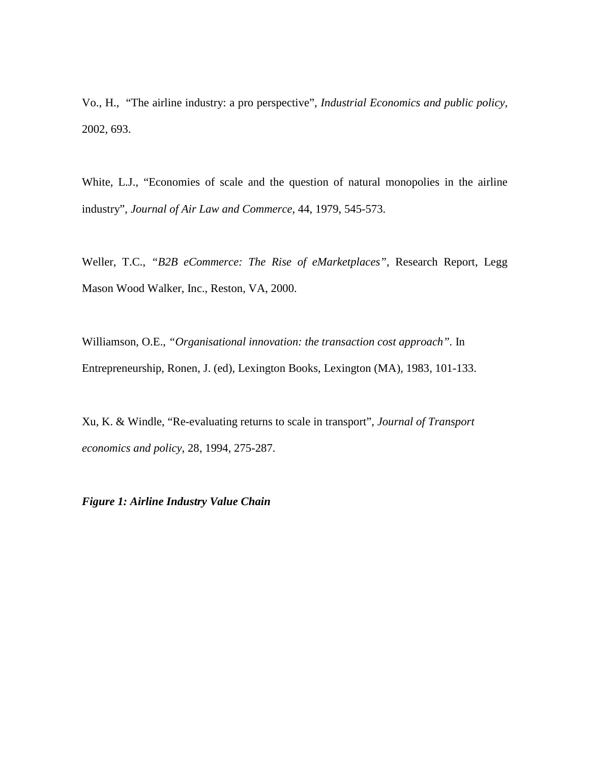Vo., H., "The airline industry: a pro perspective", *Industrial Economics and public policy,* 2002, 693.

White, L.J., "Economies of scale and the question of natural monopolies in the airline industry", *Journal of Air Law and Commerce*, 44, 1979, 545-573.

Weller, T.C., *"B2B eCommerce: The Rise of eMarketplaces",* Research Report, Legg Mason Wood Walker, Inc., Reston, VA, 2000.

Williamson, O.E., *"Organisational innovation: the transaction cost approach".* In Entrepreneurship, Ronen, J. (ed), Lexington Books, Lexington (MA), 1983, 101-133.

Xu, K. & Windle, "Re-evaluating returns to scale in transport", *Journal of Transport economics and policy*, 28, 1994, 275-287.

*Figure 1: Airline Industry Value Chain*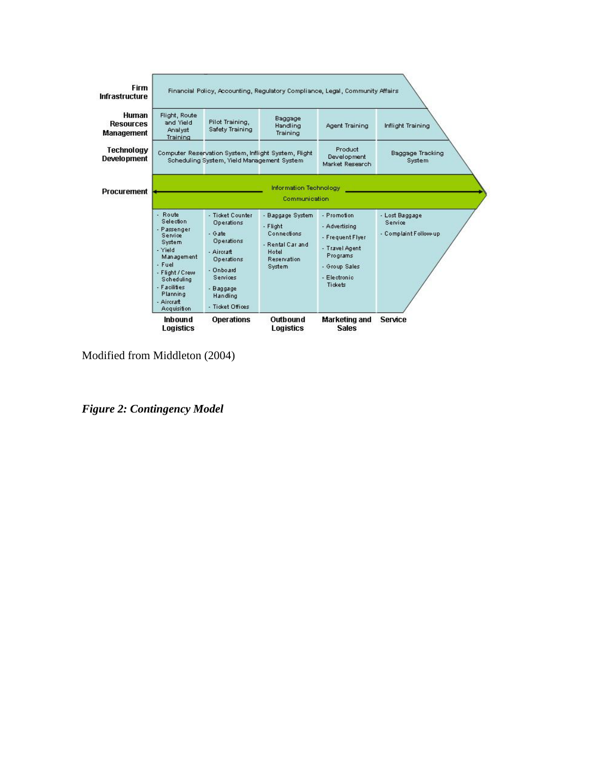

Modified from Middleton (2004)

*Figure 2: Contingency Model*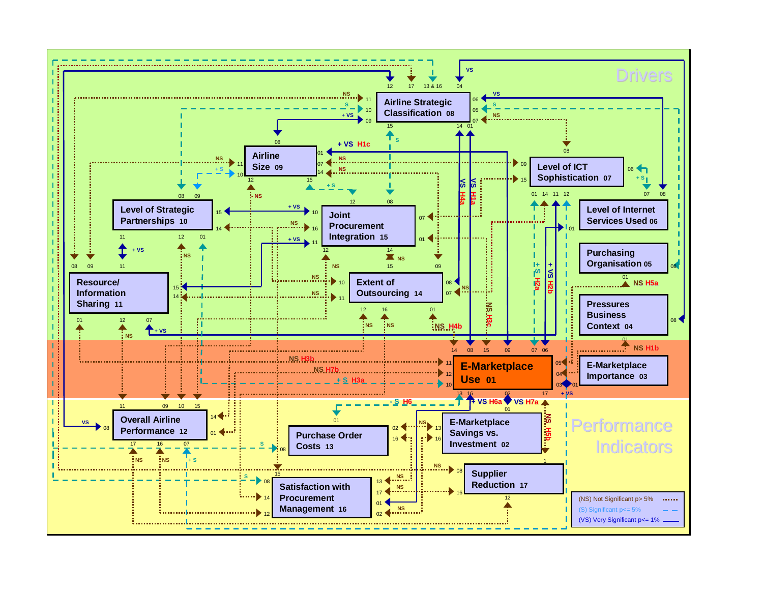![](_page_38_Figure_0.jpeg)